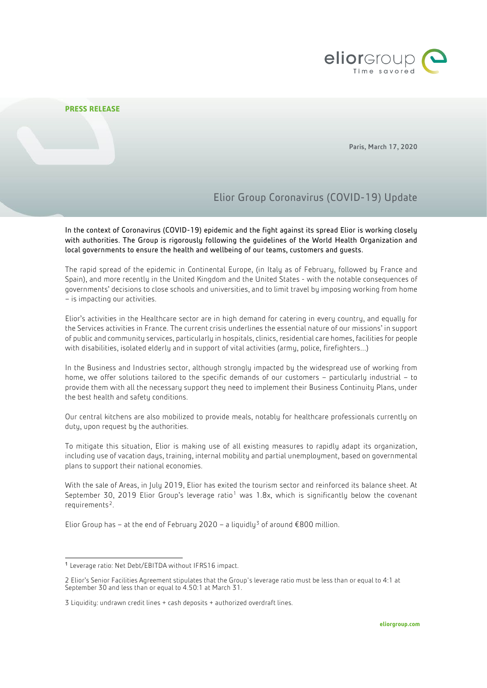

## **PRESS RELEASE**

Paris, March 17, 2020

## Elior Group Coronavirus (COVID-19) Update

In the context of Coronavirus (COVID-19) epidemic and the fight against its spread Elior is working closely with authorities. The Group is rigorously following the guidelines of the World Health Organization and local governments to ensure the health and wellbeing of our teams, customers and guests.

The rapid spread of the epidemic in Continental Europe, (in Italy as of February, followed by France and Spain), and more recently in the United Kingdom and the United States - with the notable consequences of governments' decisions to close schools and universities, and to limit travel by imposing working from home – is impacting our activities.

Elior's activities in the Healthcare sector are in high demand for catering in every country, and equally for the Services activities in France. The current crisis underlines the essential nature of our missions' in support of public and community services, particularly in hospitals, clinics, residential care homes, facilities for people with disabilities, isolated elderly and in support of vital activities (army, police, firefighters…)

In the Business and Industries sector, although strongly impacted by the widespread use of working from home, we offer solutions tailored to the specific demands of our customers – particularly industrial – to provide them with all the necessary support they need to implement their Business Continuity Plans, under the best health and safety conditions.

Our central kitchens are also mobilized to provide meals, notably for healthcare professionals currently on duty, upon request by the authorities.

To mitigate this situation, Elior is making use of all existing measures to rapidly adapt its organization, including use of vacation days, training, internal mobility and partial unemployment, based on governmental plans to support their national economies.

With the sale of Areas, in July 2019, Elior has exited the tourism sector and reinforced its balance sheet. At September 30, 20[1](#page-0-0)9 Elior Group's leverage ratio<sup>1</sup> was 1.8x, which is significantly below the covenant requirements<sup>[2](#page-0-1)</sup>.

Elior Group has – at the end of February 2020 – a liquidly<sup>[3](#page-0-2)</sup> of around  $\epsilon$ 800 million.

<span id="page-0-0"></span> <sup>1</sup> Leverage ratio: Net Debt/EBITDA without IFRS16 impact.

<span id="page-0-1"></span><sup>2</sup> Elior's Senior Facilities Agreement stipulates that the Group's leverage ratio must be less than or equal to 4:1 at September 30 and less than or equal to 4.50:1 at March 31.

<span id="page-0-2"></span><sup>3</sup> Liquidity: undrawn credit lines + cash deposits + authorized overdraft lines.